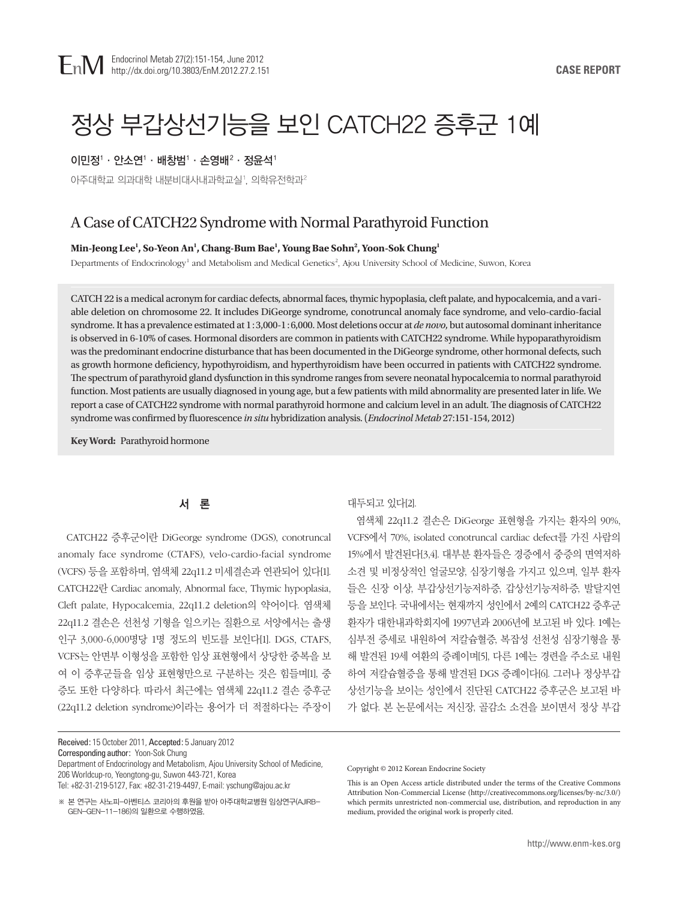# 정상 부갑상선기능을 보인 CATCH22 증후군 1예

### 이민정'ㆍ안소연'ㆍ배창범'ㆍ손영배 $^2$ ㆍ정윤석'

아주대학교 의과대학 내분비대사내과학교실 ', 의학유전학과 $^{\rm 2}$ 

# A Case of CATCH22 Syndrome with Normal Parathyroid Function

#### **Min-Jeong Lee1 , So-Yeon An1 , Chang-Bum Bae1 , Young Bae Sohn2 , Yoon-Sok Chung1**

Departments of Endocrinology<sup>1</sup> and Metabolism and Medical Genetics<sup>2</sup>, Ajou University School of Medicine, Suwon, Korea

CATCH 22 is a medical acronym for cardiac defects, abnormal faces, thymic hypoplasia, cleft palate, and hypocalcemia, and a variable deletion on chromosome 22. It includes DiGeorge syndrome, conotruncal anomaly face syndrome, and velo-cardio-facial syndrome. It has a prevalence estimated at 1:3,000-1:6,000. Most deletions occur at *de novo*, but autosomal dominant inheritance is observed in 6-10% of cases. Hormonal disorders are common in patients with CATCH22 syndrome. While hypoparathyroidism was the predominant endocrine disturbance that has been documented in the DiGeorge syndrome, other hormonal defects, such as growth hormone deficiency, hypothyroidism, and hyperthyroidism have been occurred in patients with CATCH22 syndrome. The spectrum of parathyroid gland dysfunction in this syndrome ranges from severe neonatal hypocalcemia to normal parathyroid function. Most patients are usually diagnosed in young age, but a few patients with mild abnormality are presented later in life. We report a case of CATCH22 syndrome with normal parathyroid hormone and calcium level in an adult. The diagnosis of CATCH22 syndrome was confirmed by fluorescence *in situ* hybridization analysis. (*Endocrinol Metab* 27:151-154, 2012)

**Key Word:** Parathyroid hormone

# 서 론

CATCH22 증후군이란 DiGeorge syndrome (DGS), conotruncal anomaly face syndrome (CTAFS), velo-cardio-facial syndrome (VCFS) 등을 포함하며, 염색체 22q11.2 미세결손과 연관되어 있다[1]. CATCH22란 Cardiac anomaly, Abnormal face, Thymic hypoplasia, Cleft palate, Hypocalcemia, 22q11.2 deletion의 약어이다. 염색체 22q11.2 결손은 선천성 기형을 일으키는 질환으로 서양에서는 출생 인구 3,000-6,000명당 1명 정도의 빈도를 보인다[1]. DGS, CTAFS, VCFS는 안면부 이형성을 포함한 임상 표현형에서 상당한 중복을 보 여 이 증후군들을 임상 표현형만으로 구분하는 것은 힘들며[1], 중 증도 또한 다양하다. 따라서 최근에는 염색체 22q11.2 결손 증후군 (22q11.2 deletion syndrome)이라는 용어가 더 적절하다는 주장이

Corresponding author: Yoon-Sok Chung

Department of Endocrinology and Metabolism, Ajou University School of Medicine, 206 Worldcup-ro, Yeongtong-gu, Suwon 443-721, Korea Tel: +82-31-219-5127, Fax: +82-31-219-4497, E-mail: yschung@ajou.ac.kr

※ 본 연구는 사노피-아벤티스 코리아의 후원을 받아 아주대학교병원 임상연구(AJIRB-GEN-GEN-11-186)의 일환으로 수행하였음.

# 대두되고 있다[2].

염색체 22q11.2 결손은 DiGeorge 표현형을 가지는 환자의 90%, VCFS에서 70%, isolated conotruncal cardiac defect를 가진 사람의 15%에서 발견된다[3,4]. 대부분 환자들은 경증에서 중증의 면역저하 소견 및 비정상적인 얼굴모양, 심장기형을 가지고 있으며, 일부 환자 들은 신장 이상, 부갑상선기능저하증, 갑상선기능저하증, 발달지연 등을 보인다. 국내에서는 현재까지 성인에서 2예의 CATCH22 증후군 환자가 대한내과학회지에 1997년과 2006년에 보고된 바 있다. 1예는 심부전 증세로 내원하여 저칼슘혈증, 복잡성 선천성 심장기형을 통 해 발견된 19세 여환의 증례이며[5], 다른 1예는 경련을 주소로 내원 하여 저칼슘혈증을 통해 발견된 DGS 증례이다[6]. 그러나 정상부갑 상선기능을 보이는 성인에서 진단된 CATCH22 증후군은 보고된 바 가 없다. 본 논문에서는 저신장, 골감소 소견을 보이면서 정상 부갑

Copyright © 2012 Korean Endocrine Society

Received: 15 October 2011, Accepted: 5 January 2012

This is an Open Access article distributed under the terms of the Creative Commons Attribution Non-Commercial License (http://creativecommons.org/licenses/by-nc/3.0/) which permits unrestricted non-commercial use, distribution, and reproduction in any medium, provided the original work is properly cited.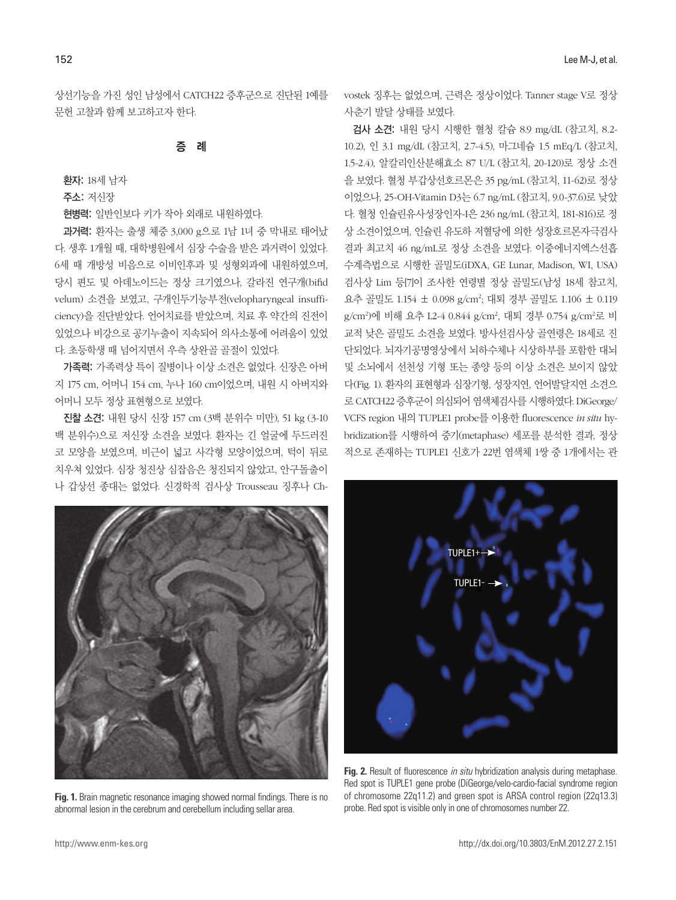상선기능을 가진 성인 남성에서 CATCH22 증후군으로 진단된 1예를 문헌 고찰과 함께 보고하고자 한다.

#### 증 례

환자: 18세 남자

주소: 저신장

현병력: 일반인보다 키가 작아 외래로 내원하였다.

과거력: 환자는 출생 체중 3,000 g으로 1남 1녀 중 막내로 태어났 다. 생후 1개월 때, 대학병원에서 심장 수술을 받은 과거력이 있었다. 6세 때 개방성 비음으로 이비인후과 및 성형외과에 내원하였으며, 당시 편도 및 아데노이드는 정상 크기였으나, 갈라진 연구개(bifid velum) 소견을 보였고, 구개인두기능부전(velopharyngeal insufficiency)을 진단받았다. 언어치료를 받았으며, 치료 후 약간의 진전이 있었으나 비강으로 공기누출이 지속되어 의사소통에 어려움이 있었 다. 초등학생 때 넘어지면서 우측 상완골 골절이 있었다.

가족력: 가족력상 특이 질병이나 이상 소견은 없었다. 신장은 아버 지 175 cm, 어머니 154 cm, 누나 160 cm이었으며, 내원 시 아버지와 어머니 모두 정상 표현형으로 보였다.

진찰 소견: 내원 당시 신장 157 cm (3백 분위수 미만), 51 kg (3-10 백 분위수)으로 저신장 소견을 보였다. 환자는 긴 얼굴에 두드러진 코 모양을 보였으며, 비근이 넓고 사각형 모양이었으며, 턱이 뒤로 치우쳐 있었다. 심장 청진상 심잡음은 청진되지 않았고, 안구돌출이 나 갑상선 종대는 없었다. 신경학적 검사상 Trousseau 징후나 Chvostek 징후는 없었으며, 근력은 정상이었다. Tanner stage V로 정상 사춘기 발달 상태를 보였다.

검사 소견: 내원 당시 시행한 혈청 칼슘 8.9 mg/dL (참고치, 8.2- 10.2), 인 3.1 mg/dL (참고치, 2.7-4.5), 마그네슘 1.5 mEq/L (참고치, 1.5-2.4), 알칼리인산분해효소 87 U/L (참고치, 20-120)로 정상 소견 을 보였다. 혈청 부갑상선호르몬은 35 pg/mL (참고치, 11-62)로 정상 이었으나, 25-OH-Vitamin D3는 6.7 ng/mL (참고치, 9.0-37.6)로 낮았 다. 혈청 인슐린유사성장인자-I은 236 ng/mL (참고치, 181-816)로 정 상 소견이었으며, 인슐린 유도하 저혈당에 의한 성장호르몬자극검사 결과 최고치 46 ng/mL로 정상 소견을 보였다. 이중에너지엑스선흡 수계측법으로 시행한 골밀도(iDXA, GE Lunar, Madison, WI, USA) 검사상 Lim 등[7]이 조사한 연령별 정상 골밀도(남성 18세 참고치, 요추 골밀도 1.154 ± 0.098 g/cm²; 대퇴 경부 골밀도 1.106 ± 0.119 g/cm²)에 비해 요추 L2-4 0.844 g/cm², 대퇴 경부 0.754 g/cm²로 비 교적 낮은 골밀도 소견을 보였다. 방사선검사상 골연령은 18세로 진 단되었다. 뇌자기공명영상에서 뇌하수체나 시상하부를 포함한 대뇌 및 소뇌에서 선천성 기형 또는 종양 등의 이상 소견은 보이지 않았 다(Fig. 1). 환자의 표현형과 심장기형, 성장지연, 언어발달지연 소견으 로 CATCH22 증후군이 의심되어 염색체검사를 시행하였다. DiGeorge/ VCFS region 내의 TUPLE1 probe를 이용한 fluorescence *in situ* hybridization를 시행하여 중기(metaphase) 세포를 분석한 결과, 정상 적으로 존재하는 TUPLE1 신호가 22번 염색체 1쌍 중 1개에서는 관



**Fig. 1.** Brain magnetic resonance imaging showed normal findings. There is no abnormal lesion in the cerebrum and cerebellum including sellar area.



**Fig. 2.** Result of fluorescence *in situ* hybridization analysis during metaphase. Red spot is TUPLE1 gene probe (DiGeorge/velo-cardio-facial syndrome region of chromosome 22q11.2) and green spot is ARSA control region (22q13.3) probe. Red spot is visible only in one of chromosomes number 22.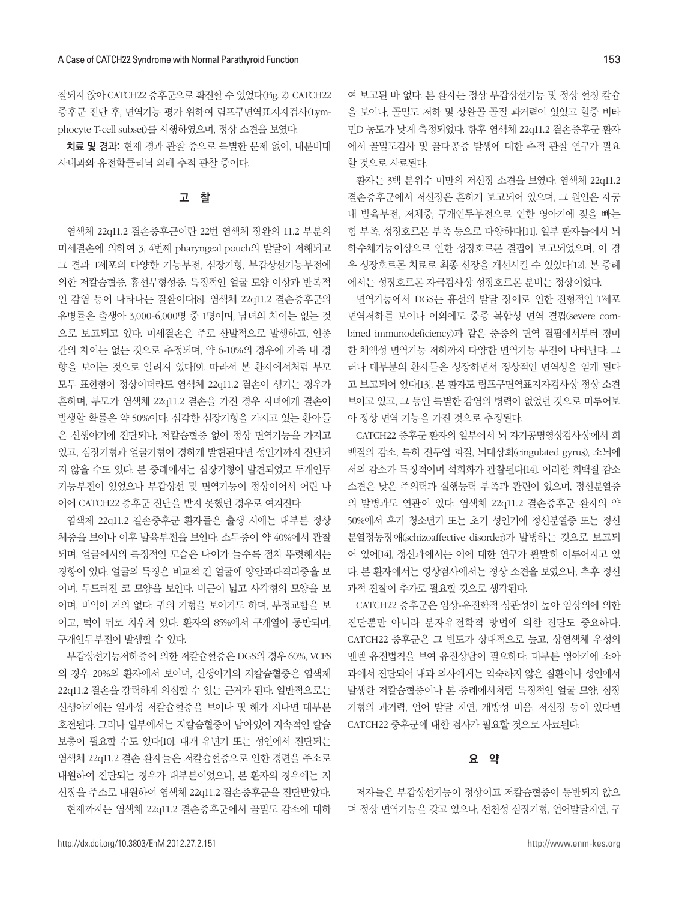찰되지 않아 CATCH22 증후군으로 확진할 수 있었다(Fig. 2). CATCH22 증후군 진단 후, 면역기능 평가 위하여 림프구면역표지자검사(Lymphocyte T-cell subset)를 시행하였으며, 정상 소견을 보였다.

치료 및 경과: 현재 경과 관찰 중으로 특별한 문제 없이, 내분비대 사내과와 유전학클리닉 외래 추적 관찰 중이다.

# 고 찰

염색체 22q11.2 결손증후군이란 22번 염색체 장완의 11.2 부분의 미세결손에 의하여 3, 4번째 pharyngeal pouch의 발달이 저해되고 그 결과 T세포의 다양한 기능부전, 심장기형, 부갑상선기능부전에 의한 저칼슘혈증, 흉선무형성증, 특징적인 얼굴 모양 이상과 반복적 인 감염 등이 나타나는 질환이다[8]. 염색체 22q11.2 결손증후군의 유병률은 출생아 3,000-6,000명 중 1명이며, 남녀의 차이는 없는 것 으로 보고되고 있다. 미세결손은 주로 산발적으로 발생하고, 인종 간의 차이는 없는 것으로 추정되며, 약 6-10%의 경우에 가족 내 경 향을 보이는 것으로 알려져 있다[9]. 따라서 본 환자에서처럼 부모 모두 표현형이 정상이더라도 염색체 22q11.2 결손이 생기는 경우가 흔하며, 부모가 염색체 22q11.2 결손을 가진 경우 자녀에게 결손이 발생할 확률은 약 50%이다. 심각한 심장기형을 가지고 있는 환아들 은 신생아기에 진단되나, 저칼슘혈증 없이 정상 면역기능을 가지고 있고, 심장기형과 얼굴기형이 경하게 발현된다면 성인기까지 진단되 지 않을 수도 있다. 본 증례에서는 심장기형이 발견되었고 두개인두 기능부전이 있었으나 부갑상선 및 면역기능이 정상이어서 어린 나 이에 CATCH22 증후군 진단을 받지 못했던 경우로 여겨진다.

염색체 22q11.2 결손증후군 환자들은 출생 시에는 대부분 정상 체중을 보이나 이후 발육부전을 보인다. 소두증이 약 40%에서 관찰 되며, 얼굴에서의 특징적인 모습은 나이가 들수록 점차 뚜렷해지는 경향이 있다. 얼굴의 특징은 비교적 긴 얼굴에 양안과다격리증을 보 이며, 두드러진 코 모양을 보인다. 비근이 넓고 사각형의 모양을 보 이며, 비익이 거의 없다. 귀의 기형을 보이기도 하며, 부정교합을 보 이고, 턱이 뒤로 치우쳐 있다. 환자의 85%에서 구개열이 동반되며, 구개인두부전이 발생할 수 있다.

부갑상선기능저하증에 의한 저칼슘혈증은 DGS의 경우 60%, VCFS 의 경우 20%의 환자에서 보이며, 신생아기의 저칼슘혈증은 염색체 22q11.2 결손을 강력하게 의심할 수 있는 근거가 된다. 일반적으로는 신생아기에는 일과성 저칼슘혈증을 보이나 몇 해가 지나면 대부분 호전된다. 그러나 일부에서는 저칼슘혈증이 남아있어 지속적인 칼슘 보충이 필요할 수도 있다[10]. 대개 유년기 또는 성인에서 진단되는 염색체 22q11.2 결손 환자들은 저칼슘혈증으로 인한 경련을 주소로 내원하여 진단되는 경우가 대부분이었으나, 본 환자의 경우에는 저 신장을 주소로 내원하여 염색체 22q11.2 결손증후군을 진단받았다. 현재까지는 염색체 22q11.2 결손증후군에서 골밀도 감소에 대하 여 보고된 바 없다. 본 환자는 정상 부갑상선기능 및 정상 혈청 칼슘 을 보이나, 골밀도 저하 및 상완골 골절 과거력이 있었고 혈중 비타 민D 농도가 낮게 측정되었다. 향후 염색체 22q11.2 결손증후군 환자 에서 골밀도검사 및 골다공증 발생에 대한 추적 관찰 연구가 필요 할 것으로 사료된다.

환자는 3백 분위수 미만의 저신장 소견을 보였다. 염색체 22q11.2 결손증후군에서 저신장은 흔하게 보고되어 있으며, 그 원인은 자궁 내 발육부전, 저체중, 구개인두부전으로 인한 영아기에 젖을 빠는 힘 부족, 성장호르몬 부족 등으로 다양하다[11]. 일부 환자들에서 뇌 하수체기능이상으로 인한 성장호르몬 결핍이 보고되었으며, 이 경 우 성장호르몬 치료로 최종 신장을 개선시킬 수 있었다[12]. 본 증례 에서는 성장호르몬 자극검사상 성장호르몬 분비는 정상이었다.

면역기능에서 DGS는 흉선의 발달 장애로 인한 전형적인 T세포 면역저하를 보이나 이외에도 중증 복합성 면역 결핍(severe combined immunodeficiency)과 같은 중증의 면역 결핍에서부터 경미 한 체액성 면역기능 저하까지 다양한 면역기능 부전이 나타난다. 그 러나 대부분의 환자들은 성장하면서 정상적인 면역성을 얻게 된다 고 보고되어 있다[13]. 본 환자도 림프구면역표지자검사상 정상 소견 보이고 있고, 그 동안 특별한 감염의 병력이 없었던 것으로 미루어보 아 정상 면역 기능을 가진 것으로 추정된다.

CATCH22 증후군 환자의 일부에서 뇌 자기공명영상검사상에서 회 백질의 감소, 특히 전두엽 피질, 뇌대상회(cingulated gyrus), 소뇌에 서의 감소가 특징적이며 석회화가 관찰된다[14]. 이러한 회백질 감소 소견은 낮은 주의력과 실행능력 부족과 관련이 있으며, 정신분열증 의 발병과도 연관이 있다. 염색체 22q11.2 결손증후군 환자의 약 50%에서 후기 청소년기 또는 초기 성인기에 정신분열증 또는 정신 분열정동장애(schizoaffective disorder)가 발병하는 것으로 보고되 어 있어[14], 정신과에서는 이에 대한 연구가 활발히 이루어지고 있 다. 본 환자에서는 영상검사에서는 정상 소견을 보였으나, 추후 정신 과적 진찰이 추가로 필요할 것으로 생각된다.

CATCH22 증후군은 임상-유전학적 상관성이 높아 임상의에 의한 진단뿐만 아니라 분자유전학적 방법에 의한 진단도 중요하다. CATCH22 증후군은 그 빈도가 상대적으로 높고, 상염색체 우성의 멘델 유전법칙을 보여 유전상담이 필요하다. 대부분 영아기에 소아 과에서 진단되어 내과 의사에게는 익숙하지 않은 질환이나 성인에서 발생한 저칼슘혈증이나 본 증례에서처럼 특징적인 얼굴 모양, 심장 기형의 과거력, 언어 발달 지연, 개방성 비음, 저신장 등이 있다면 CATCH22 증후군에 대한 검사가 필요할 것으로 사료된다.

#### 요 약

저자들은 부갑상선기능이 정상이고 저칼슘혈증이 동반되지 않으 며 정상 면역기능을 갖고 있으나, 선천성 심장기형, 언어발달지연, 구